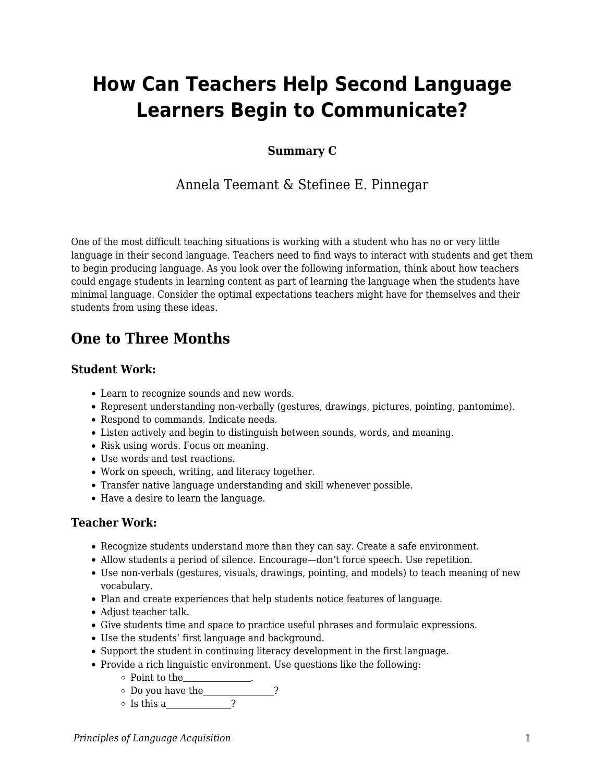# **How Can Teachers Help Second Language Learners Begin to Communicate?**

### **Summary C**

## Annela Teemant & Stefinee E. Pinnegar

One of the most difficult teaching situations is working with a student who has no or very little language in their second language. Teachers need to find ways to interact with students and get them to begin producing language. As you look over the following information, think about how teachers could engage students in learning content as part of learning the language when the students have minimal language. Consider the optimal expectations teachers might have for themselves and their students from using these ideas.

# **One to Three Months**

#### **Student Work:**

- Learn to recognize sounds and new words.
- Represent understanding non-verbally (gestures, drawings, pictures, pointing, pantomime).
- Respond to commands. Indicate needs.
- Listen actively and begin to distinguish between sounds, words, and meaning.
- Risk using words. Focus on meaning.
- Use words and test reactions.
- Work on speech, writing, and literacy together.
- Transfer native language understanding and skill whenever possible.
- Have a desire to learn the language.

#### **Teacher Work:**

- Recognize students understand more than they can say. Create a safe environment.
- Allow students a period of silence. Encourage—don't force speech. Use repetition.
- Use non-verbals (gestures, visuals, drawings, pointing, and models) to teach meaning of new vocabulary.
- Plan and create experiences that help students notice features of language.
- Adjust teacher talk.
- Give students time and space to practice useful phrases and formulaic expressions.
- Use the students' first language and background.
- Support the student in continuing literacy development in the first language.
- Provide a rich linguistic environment. Use questions like the following:
	- $\circ$  Point to the

 $\circ$  Do you have the ?

 $\circ$  Is this a  $\qquad \qquad$  ?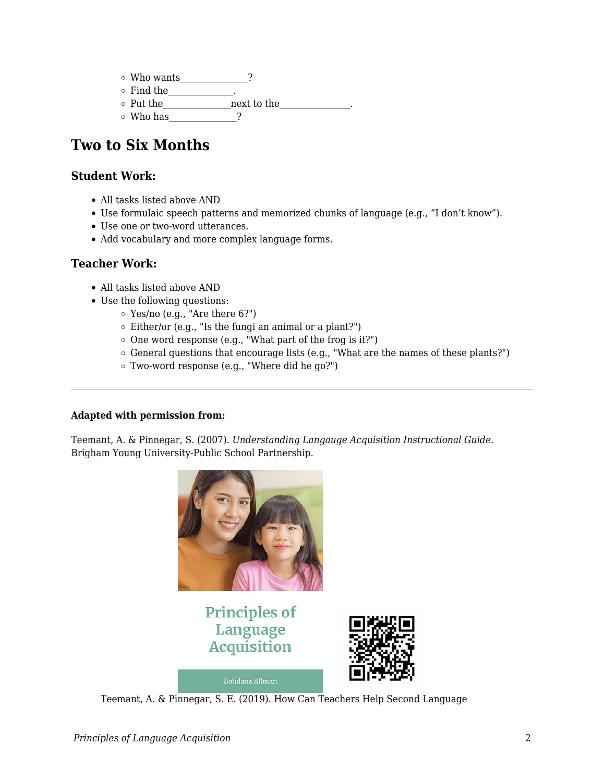$\circ$  Who wants  $\qquad$  ?  $\circ$  Find the  $\circ$  Put the next to the  $\circ$  Who has ?

# **Two to Six Months**

## **Student Work:**

- All tasks listed above AND
- Use formulaic speech patterns and memorized chunks of language (e.g., "I don't know").
- Use one or two-word utterances.
- Add vocabulary and more complex language forms.

#### **Teacher Work:**

- All tasks listed above AND
- Use the following questions:
	- Yes/no (e.g., "Are there 6?")
	- $\circ$  Either/or (e.g., "Is the fungi an animal or a plant?")
	- $\circ$  One word response (e.g., "What part of the frog is it?")
	- $\circ$  General questions that encourage lists (e.g., "What are the names of these plants?")
	- Two-word response (e.g., "Where did he go?")

#### **Adapted with permission from:**

Teemant, A. & Pinnegar, S. (2007). *Understanding Langauge Acquisition Instructional Guide.* Brigham Young University-Public School Partnership.



**Bohdana Allman** 



Teemant, A. & Pinnegar, S. E. (2019). How Can Teachers Help Second Language